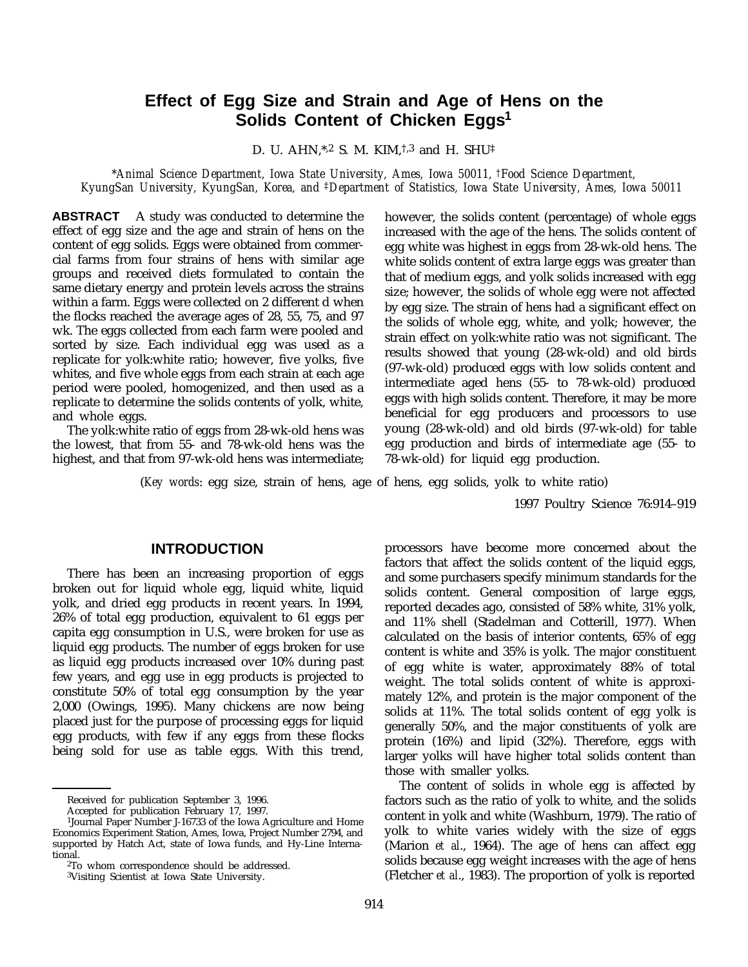# **Effect of Egg Size and Strain and Age of Hens on the Solids Content of Chicken Eggs1**

D. U. AHN,\*,2 S. M. KIM,†,3 and H. SHU‡

*\*Animal Science Department, Iowa State University, Ames, Iowa 50011, †Food Science Department, KyungSan University, KyungSan, Korea, and ‡Department of Statistics, Iowa State University, Ames, Iowa 50011*

**ABSTRACT** A study was conducted to determine the effect of egg size and the age and strain of hens on the content of egg solids. Eggs were obtained from commercial farms from four strains of hens with similar age groups and received diets formulated to contain the same dietary energy and protein levels across the strains within a farm. Eggs were collected on 2 different d when the flocks reached the average ages of 28, 55, 75, and 97 wk. The eggs collected from each farm were pooled and sorted by size. Each individual egg was used as a replicate for yolk:white ratio; however, five yolks, five whites, and five whole eggs from each strain at each age period were pooled, homogenized, and then used as a replicate to determine the solids contents of yolk, white, and whole eggs.

The yolk:white ratio of eggs from 28-wk-old hens was the lowest, that from 55- and 78-wk-old hens was the highest, and that from 97-wk-old hens was intermediate;

(*Key words*: egg size, strain of hens, age of hens, egg solids, yolk to white ratio)

1997 Poultry Science 76:914–919

#### **INTRODUCTION**

There has been an increasing proportion of eggs broken out for liquid whole egg, liquid white, liquid yolk, and dried egg products in recent years. In 1994, 26% of total egg production, equivalent to 61 eggs per capita egg consumption in U.S., were broken for use as liquid egg products. The number of eggs broken for use as liquid egg products increased over 10% during past few years, and egg use in egg products is projected to constitute 50% of total egg consumption by the year 2,000 (Owings, 1995). Many chickens are now being placed just for the purpose of processing eggs for liquid egg products, with few if any eggs from these flocks being sold for use as table eggs. With this trend,

Received for publication September 3, 1996.

processors have become more concerned about the factors that affect the solids content of the liquid eggs, and some purchasers specify minimum standards for the solids content. General composition of large eggs, reported decades ago, consisted of 58% white, 31% yolk, and 11% shell (Stadelman and Cotterill, 1977). When calculated on the basis of interior contents, 65% of egg content is white and 35% is yolk. The major constituent of egg white is water, approximately 88% of total weight. The total solids content of white is approximately 12%, and protein is the major component of the solids at 11%. The total solids content of egg yolk is generally 50%, and the major constituents of yolk are protein (16%) and lipid (32%). Therefore, eggs with larger yolks will have higher total solids content than those with smaller yolks.

78-wk-old) for liquid egg production.

however, the solids content (percentage) of whole eggs increased with the age of the hens. The solids content of egg white was highest in eggs from 28-wk-old hens. The white solids content of extra large eggs was greater than that of medium eggs, and yolk solids increased with egg size; however, the solids of whole egg were not affected by egg size. The strain of hens had a significant effect on the solids of whole egg, white, and yolk; however, the strain effect on yolk:white ratio was not significant. The results showed that young (28-wk-old) and old birds (97-wk-old) produced eggs with low solids content and intermediate aged hens (55- to 78-wk-old) produced eggs with high solids content. Therefore, it may be more beneficial for egg producers and processors to use young (28-wk-old) and old birds (97-wk-old) for table egg production and birds of intermediate age (55- to

The content of solids in whole egg is affected by factors such as the ratio of yolk to white, and the solids content in yolk and white (Washburn, 1979). The ratio of yolk to white varies widely with the size of eggs (Marion *et al*., 1964). The age of hens can affect egg solids because egg weight increases with the age of hens (Fletcher *et al*., 1983). The proportion of yolk is reported

Accepted for publication February 17, 1997.

<sup>1</sup>Journal Paper Number J-16733 of the Iowa Agriculture and Home Economics Experiment Station, Ames, Iowa, Project Number 2794, and supported by Hatch Act, state of Iowa funds, and Hy-Line International.

<sup>2</sup>To whom correspondence should be addressed.

<sup>3</sup>Visiting Scientist at Iowa State University.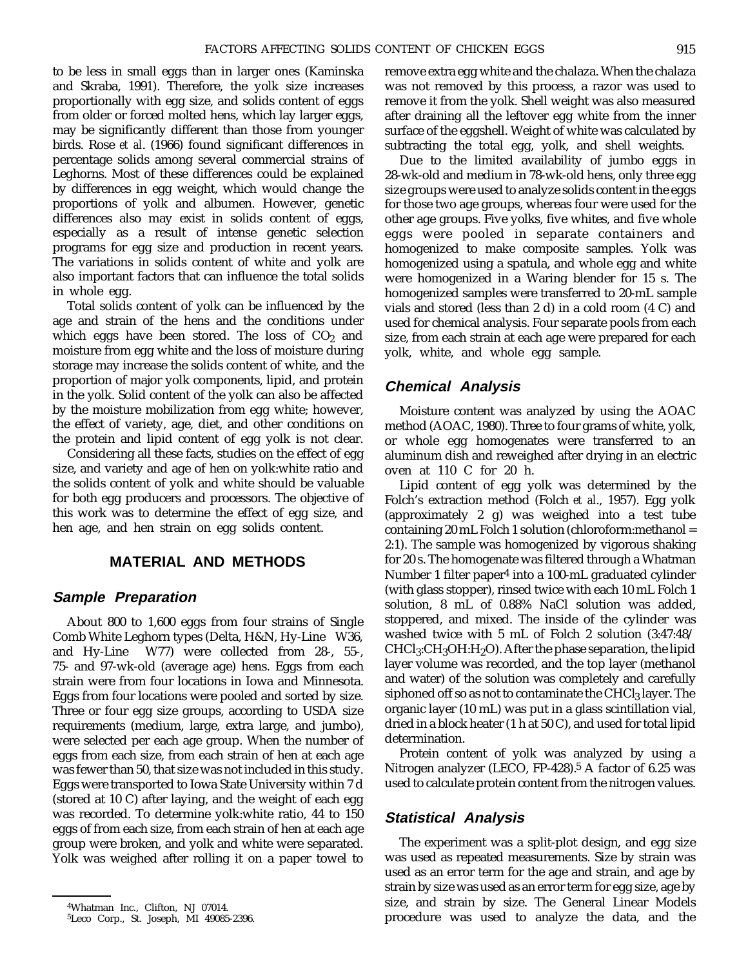to be less in small eggs than in larger ones (Kaminska and Skraba, 1991). Therefore, the yolk size increases proportionally with egg size, and solids content of eggs from older or forced molted hens, which lay larger eggs, may be significantly different than those from younger birds. Rose *et al*. (1966) found significant differences in percentage solids among several commercial strains of Leghorns. Most of these differences could be explained by differences in egg weight, which would change the proportions of yolk and albumen. However, genetic differences also may exist in solids content of eggs, especially as a result of intense genetic selection programs for egg size and production in recent years. The variations in solids content of white and yolk are also important factors that can influence the total solids in whole egg.

Total solids content of yolk can be influenced by the age and strain of the hens and the conditions under which eggs have been stored. The loss of  $CO<sub>2</sub>$  and moisture from egg white and the loss of moisture during storage may increase the solids content of white, and the proportion of major yolk components, lipid, and protein in the yolk. Solid content of the yolk can also be affected by the moisture mobilization from egg white; however, the effect of variety, age, diet, and other conditions on the protein and lipid content of egg yolk is not clear.

Considering all these facts, studies on the effect of egg size, and variety and age of hen on yolk:white ratio and the solids content of yolk and white should be valuable for both egg producers and processors. The objective of this work was to determine the effect of egg size, and hen age, and hen strain on egg solids content.

# **MATERIAL AND METHODS**

#### **Sample Preparation**

About 800 to 1,600 eggs from four strains of Single Comb White Leghorn types (Delta, H&N, Hy-Line<sup>®</sup> W36, and Hy-Line<sup>®</sup> W77) were collected from 28-, 55-, 75- and 97-wk-old (average age) hens. Eggs from each strain were from four locations in Iowa and Minnesota. Eggs from four locations were pooled and sorted by size. Three or four egg size groups, according to USDA size requirements (medium, large, extra large, and jumbo), were selected per each age group. When the number of eggs from each size, from each strain of hen at each age was fewer than 50, that size was not included in this study. Eggs were transported to Iowa State University within 7 d (stored at 10 C) after laying, and the weight of each egg was recorded. To determine yolk:white ratio, 44 to 150 eggs of from each size, from each strain of hen at each age group were broken, and yolk and white were separated. Yolk was weighed after rolling it on a paper towel to

remove extra egg white and the chalaza. When the chalaza was not removed by this process, a razor was used to remove it from the yolk. Shell weight was also measured after draining all the leftover egg white from the inner surface of the eggshell. Weight of white was calculated by subtracting the total egg, yolk, and shell weights.

Due to the limited availability of jumbo eggs in 28-wk-old and medium in 78-wk-old hens, only three egg size groups were used to analyze solids content in the eggs for those two age groups, whereas four were used for the other age groups. Five yolks, five whites, and five whole eggs were pooled in separate containers and homogenized to make composite samples. Yolk was homogenized using a spatula, and whole egg and white were homogenized in a Waring blender for 15 s. The homogenized samples were transferred to 20-mL sample vials and stored (less than 2 d) in a cold room (4 C) and used for chemical analysis. Four separate pools from each size, from each strain at each age were prepared for each yolk, white, and whole egg sample.

#### **Chemical Analysis**

Moisture content was analyzed by using the AOAC method (AOAC, 1980). Three to four grams of white, yolk, or whole egg homogenates were transferred to an aluminum dish and reweighed after drying in an electric oven at 110 C for 20 h.

Lipid content of egg yolk was determined by the Folch's extraction method (Folch *et al*., 1957). Egg yolk (approximately 2 g) was weighed into a test tube containing 20 mL Folch 1 solution (chloroform:methanol = 2:1). The sample was homogenized by vigorous shaking for 20 s. The homogenate was filtered through a Whatman Number 1 filter paper4 into a 100-mL graduated cylinder (with glass stopper), rinsed twice with each 10 mL Folch 1 solution, 8 mL of 0.88% NaCl solution was added, stoppered, and mixed. The inside of the cylinder was washed twice with 5 mL of Folch 2 solution (3:47:48/  $CHCl<sub>3</sub>:CH<sub>3</sub>OH:H<sub>2</sub>O$ ). After the phase separation, the lipid layer volume was recorded, and the top layer (methanol and water) of the solution was completely and carefully siphoned off so as not to contaminate the  $CHCl<sub>3</sub>$  layer. The organic layer (10 mL) was put in a glass scintillation vial, dried in a block heater (1 h at 50 C), and used for total lipid determination.

Protein content of yolk was analyzed by using a Nitrogen analyzer (LECO, FP-428).5 A factor of 6.25 was used to calculate protein content from the nitrogen values.

#### **Statistical Analysis**

The experiment was a split-plot design, and egg size was used as repeated measurements. Size by strain was used as an error term for the age and strain, and age by strain by size was used as an error term for egg size, age by size, and strain by size. The General Linear Models procedure was used to analyze the data, and the

<sup>4</sup>Whatman Inc., Clifton, NJ 07014.

<sup>5</sup>Leco Corp., St. Joseph, MI 49085-2396.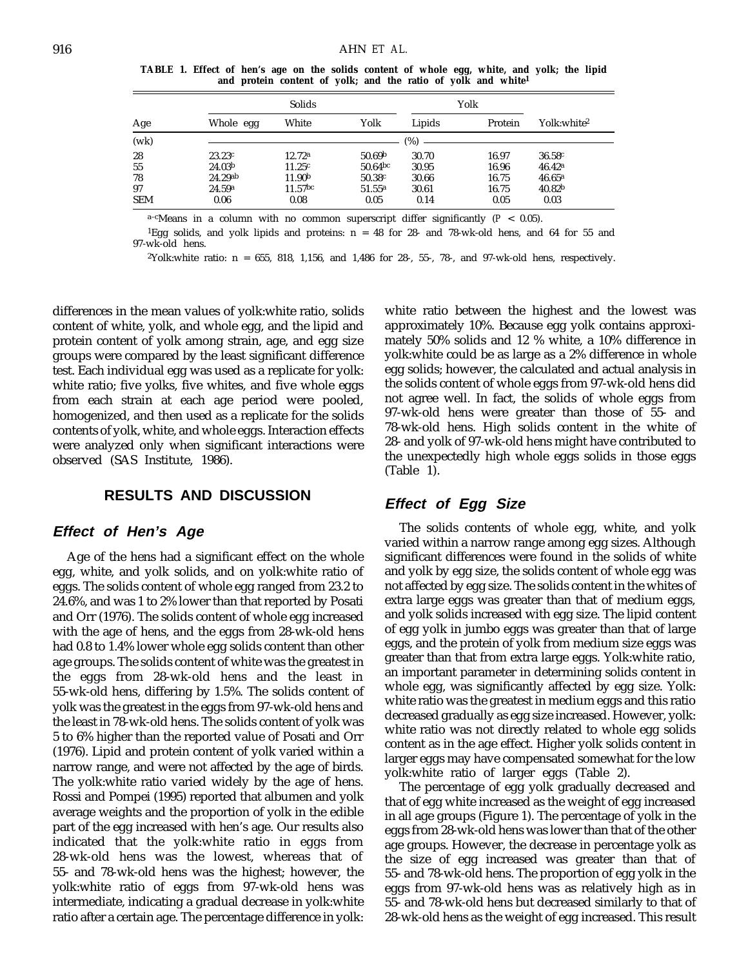**TABLE 1. Effect of hen's age on the solids content of whole egg, white, and yolk; the lipid and protein content of yolk; and the ratio of yolk and white1**

| Age        | Solids             |                     |                    | Yolk   |         |                         |  |  |
|------------|--------------------|---------------------|--------------------|--------|---------|-------------------------|--|--|
|            | Whole egg          | White               | Yolk               | Lipids | Protein | Yolk:white <sup>2</sup> |  |  |
| (wk)       | $(\%)$             |                     |                    |        |         |                         |  |  |
| 28         | 23.23c             | 12.72 <sup>a</sup>  | 50.69 <sup>b</sup> | 30.70  | 16.97   | 36.58c                  |  |  |
| 55         | 24.03 <sup>b</sup> | 11.25c              | $50.64^{bc}$       | 30.95  | 16.96   | 46.42a                  |  |  |
| 78         | 24.29ab            | 11.90 <sup>b</sup>  | 50.38c             | 30.66  | 16.75   | 46.65a                  |  |  |
| 97         | 24.59a             | 11.57 <sup>bc</sup> | 51.55a             | 30.61  | 16.75   | 40.82 <sup>b</sup>      |  |  |
| <b>SEM</b> | 0.06               | 0.08                | 0.05               | 0.14   | 0.05    | 0.03                    |  |  |

a-cMeans in a column with no common superscript differ significantly  $(P < 0.05)$ .

1Egg solids, and yolk lipids and proteins: n = 48 for 28- and 78-wk-old hens, and 64 for 55 and 97-wk-old hens.

<sup>2</sup>Yolk:white ratio:  $n = 655, 818, 1,156,$  and  $1,486$  for 28-, 55-, 78-, and 97-wk-old hens, respectively.

differences in the mean values of yolk:white ratio, solids content of white, yolk, and whole egg, and the lipid and protein content of yolk among strain, age, and egg size groups were compared by the least significant difference test. Each individual egg was used as a replicate for yolk: white ratio; five yolks, five whites, and five whole eggs from each strain at each age period were pooled, homogenized, and then used as a replicate for the solids contents of yolk, white, and whole eggs. Interaction effects were analyzed only when significant interactions were observed (SAS Institute, 1986).

# **RESULTS AND DISCUSSION**

#### **Effect of Hen's Age**

Age of the hens had a significant effect on the whole egg, white, and yolk solids, and on yolk:white ratio of eggs. The solids content of whole egg ranged from 23.2 to 24.6%, and was 1 to 2% lower than that reported by Posati and Orr (1976). The solids content of whole egg increased with the age of hens, and the eggs from 28-wk-old hens had 0.8 to 1.4% lower whole egg solids content than other age groups. The solids content of white was the greatest in the eggs from 28-wk-old hens and the least in 55-wk-old hens, differing by 1.5%. The solids content of yolk was the greatest in the eggs from 97-wk-old hens and the least in 78-wk-old hens. The solids content of yolk was 5 to 6% higher than the reported value of Posati and Orr (1976). Lipid and protein content of yolk varied within a narrow range, and were not affected by the age of birds. The yolk:white ratio varied widely by the age of hens. Rossi and Pompei (1995) reported that albumen and yolk average weights and the proportion of yolk in the edible part of the egg increased with hen's age. Our results also indicated that the yolk:white ratio in eggs from 28-wk-old hens was the lowest, whereas that of 55- and 78-wk-old hens was the highest; however, the yolk:white ratio of eggs from 97-wk-old hens was intermediate, indicating a gradual decrease in yolk:white ratio after a certain age. The percentage difference in yolk:

white ratio between the highest and the lowest was approximately 10%. Because egg yolk contains approximately 50% solids and 12 % white, a 10% difference in yolk:white could be as large as a 2% difference in whole egg solids; however, the calculated and actual analysis in the solids content of whole eggs from 97-wk-old hens did not agree well. In fact, the solids of whole eggs from 97-wk-old hens were greater than those of 55- and 78-wk-old hens. High solids content in the white of 28- and yolk of 97-wk-old hens might have contributed to the unexpectedly high whole eggs solids in those eggs (Table 1).

# **Effect of Egg Size**

The solids contents of whole egg, white, and yolk varied within a narrow range among egg sizes. Although significant differences were found in the solids of white and yolk by egg size, the solids content of whole egg was not affected by egg size. The solids content in the whites of extra large eggs was greater than that of medium eggs, and yolk solids increased with egg size. The lipid content of egg yolk in jumbo eggs was greater than that of large eggs, and the protein of yolk from medium size eggs was greater than that from extra large eggs. Yolk:white ratio, an important parameter in determining solids content in whole egg, was significantly affected by egg size. Yolk: white ratio was the greatest in medium eggs and this ratio decreased gradually as egg size increased. However, yolk: white ratio was not directly related to whole egg solids content as in the age effect. Higher yolk solids content in larger eggs may have compensated somewhat for the low yolk:white ratio of larger eggs (Table 2).

The percentage of egg yolk gradually decreased and that of egg white increased as the weight of egg increased in all age groups (Figure 1). The percentage of yolk in the eggs from 28-wk-old hens was lower than that of the other age groups. However, the decrease in percentage yolk as the size of egg increased was greater than that of 55- and 78-wk-old hens. The proportion of egg yolk in the eggs from 97-wk-old hens was as relatively high as in 55- and 78-wk-old hens but decreased similarly to that of 28-wk-old hens as the weight of egg increased. This result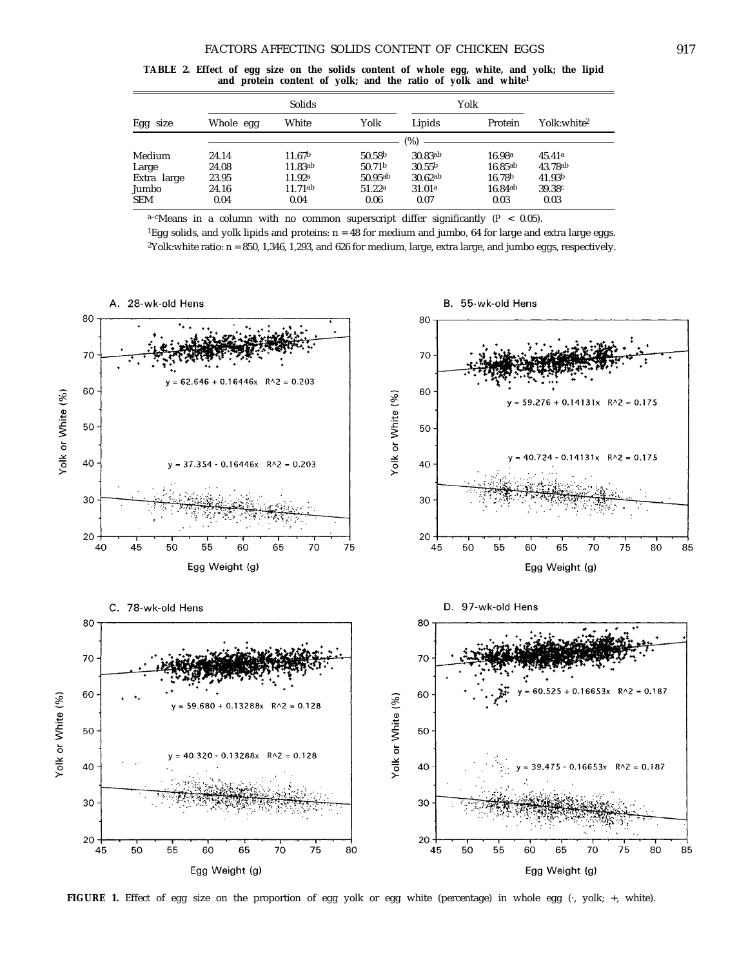|          |                   |       |      |        | and protein content of yolk; and the ratio of yolk and white <sup>1</sup> |                         |  |  |  |
|----------|-------------------|-------|------|--------|---------------------------------------------------------------------------|-------------------------|--|--|--|
|          | Solids            |       |      | Yolk   |                                                                           |                         |  |  |  |
| Egg size | Whole egg         | White | Yolk | Lipids | Protein                                                                   | Yolk:white <sup>2</sup> |  |  |  |
|          | $(\%)$ and $(\%)$ |       |      |        |                                                                           |                         |  |  |  |

**TABLE 2. Effect of egg size on the solids content of whole egg, white, and yolk; the lipid**

a-cMeans in a column with no common superscript differ significantly  $(P < 0.05)$ . SEM 0.04 0.04 0.06 0.07 0.03 0.03

Medium 24.14 11.67<sup>b</sup> 50.58<sup>b</sup> 30.83<sup>ab</sup> 16.98<sup>a</sup> 45.41<sup>a</sup>  $\rm{Large} \hspace{15.55ex} 24.08$   $\rm{11.83^{ab}}$   $\rm{50.71^{b}}$   $\rm{30.55^{b}}$   $\rm{16.85^{ab}}$   $\rm{43.78^{ab}}$ Extra large 23.95 11.92<sup>a</sup> 50.95<sup>ab</sup> 30.62<sup>ab</sup> 16.78<sup>b</sup> 41.93<sup>b</sup><br>Jumbo 24.16 11.71<sup>ab</sup> 51.22<sup>a</sup> 31.01<sup>a</sup> 16.84<sup>ab</sup> 39.38<sup>c</sup> Jumbo 24.16 11.71<sup>ab</sup> 51.22<sup>a</sup> 31.01<sup>a</sup> 16.84<sup>ab</sup> 39.38<sup>c</sup>

<sup>1</sup>Egg solids, and yolk lipids and proteins:  $n = 48$  for medium and jumbo, 64 for large and extra large eggs.  $2Y$ olk:white ratio: n = 850, 1,346, 1,293, and 626 for medium, large, extra large, and jumbo eggs, respectively.



**FIGURE 1.** Effect of egg size on the proportion of egg yolk or egg white (percentage) in whole egg (·, yolk; +, white).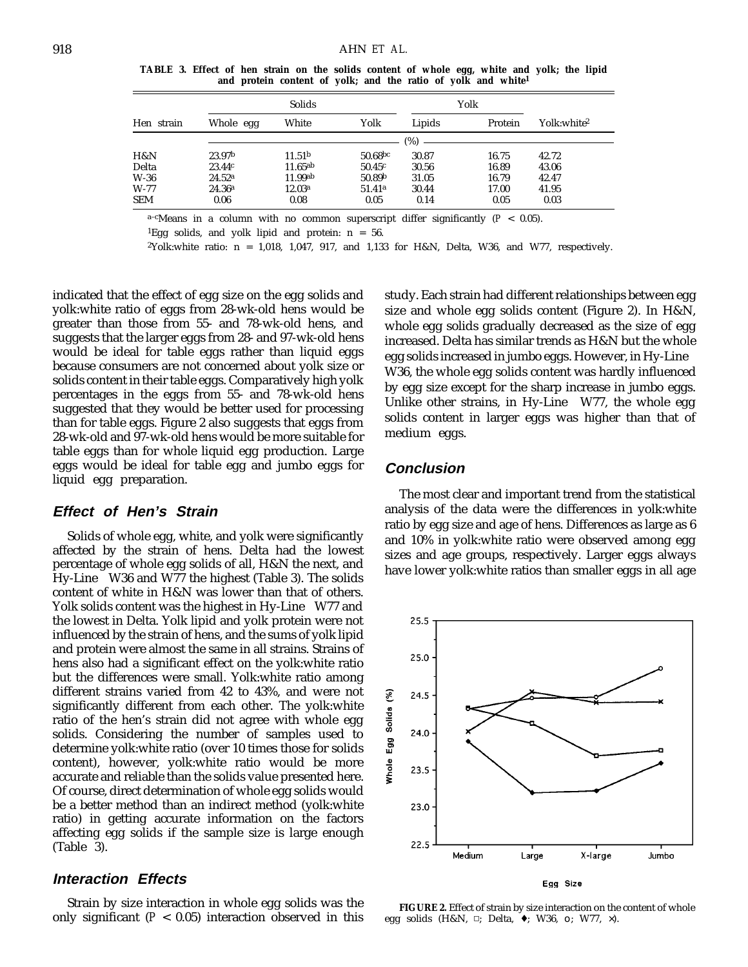Solids Yolk Hen strain Whole egg White Yolk Lipids Protein Yolk:white<sup>2</sup> (%)  $H\&N$  23.97<sup>b</sup> 11.51<sup>b</sup> 50.68<sup>bc</sup> 30.87 16.75 42.72 Delta 23.44<sup>c</sup> 11.65<sup>ab</sup> 50.45<sup>c</sup> 30.56 16.89 43.06  $W-36$  24.52<sup>a</sup> 11.99<sup>ab</sup> 50.89<sup>b</sup> 31.05 16.79 42.47  $W-77$  24.36<sup>a</sup> 12.03<sup>a</sup> 51.41<sup>a</sup> 30.44 17.00 41.95 SEM 0.06 0.08 0.05 0.14 0.05 0.03

**TABLE 3. Effect of hen strain on the solids content of whole egg, white and yolk; the lipid and protein content of yolk; and the ratio of yolk and white1**

a-cMeans in a column with no common superscript differ significantly  $(P < 0.05)$ .

1Egg solids, and yolk lipid and protein: n = 56.

<sup>2</sup>Yolk:white ratio:  $n = 1,018, 1,047, 917,$  and  $1,133$  for H&N, Delta, W36, and W77, respectively.

indicated that the effect of egg size on the egg solids and yolk:white ratio of eggs from 28-wk-old hens would be greater than those from 55- and 78-wk-old hens, and suggests that the larger eggs from 28- and 97-wk-old hens would be ideal for table eggs rather than liquid eggs because consumers are not concerned about yolk size or solids content in their table eggs. Comparatively high yolk percentages in the eggs from 55- and 78-wk-old hens suggested that they would be better used for processing than for table eggs. Figure 2 also suggests that eggs from 28-wk-old and 97-wk-old hens would be more suitable for table eggs than for whole liquid egg production. Large eggs would be ideal for table egg and jumbo eggs for liquid egg preparation.

### **Effect of Hen's Strain**

Solids of whole egg, white, and yolk were significantly affected by the strain of hens. Delta had the lowest percentage of whole egg solids of all, H&N the next, and Hy-Line<sup>®</sup> W36 and W77 the highest (Table 3). The solids content of white in H&N was lower than that of others. Yolk solids content was the highest in Hy-Line<sup>®</sup> W77 and the lowest in Delta. Yolk lipid and yolk protein were not influenced by the strain of hens, and the sums of yolk lipid and protein were almost the same in all strains. Strains of hens also had a significant effect on the yolk:white ratio but the differences were small. Yolk:white ratio among different strains varied from 42 to 43%, and were not significantly different from each other. The yolk:white ratio of the hen's strain did not agree with whole egg solids. Considering the number of samples used to determine yolk:white ratio (over 10 times those for solids content), however, yolk:white ratio would be more accurate and reliable than the solids value presented here. Of course, direct determination of whole egg solids would be a better method than an indirect method (yolk:white ratio) in getting accurate information on the factors affecting egg solids if the sample size is large enough (Table 3).

# **Interaction Effects**

Strain by size interaction in whole egg solids was the only significant  $(P < 0.05)$  interaction observed in this

study. Each strain had different relationships between egg size and whole egg solids content (Figure 2). In H&N, whole egg solids gradually decreased as the size of egg increased. Delta has similar trends as H&N but the whole egg solids increased in jumbo eggs. However, in Hy-Line W36, the whole egg solids content was hardly influenced by egg size except for the sharp increase in jumbo eggs. Unlike other strains, in Hy-Line<sup>®</sup> W77, the whole egg solids content in larger eggs was higher than that of medium eggs.

#### **Conclusion**

The most clear and important trend from the statistical analysis of the data were the differences in yolk:white ratio by egg size and age of hens. Differences as large as 6 and 10% in yolk:white ratio were observed among egg sizes and age groups, respectively. Larger eggs always have lower yolk:white ratios than smaller eggs in all age



**FIGURE 2.** Effect of strain by size interaction on the content of whole egg solids (H&N,  $\Box$ ; Delta,  $\bullet$ ; W36, o; W77,  $\times$ ).